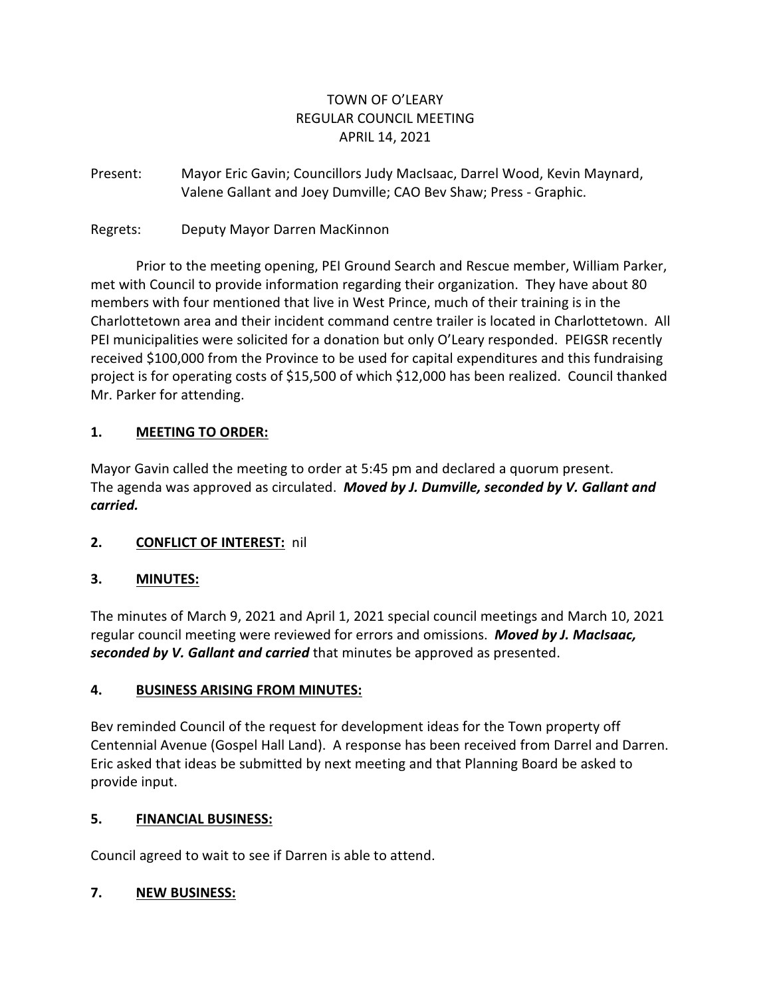# TOWN OF O'LEARY REGULAR COUNCIL MEETING APRIL 14, 2021

Present: Mayor Eric Gavin; Councillors Judy MacIsaac, Darrel Wood, Kevin Maynard, Valene Gallant and Joey Dumville; CAO Bev Shaw; Press - Graphic.

Regrets: Deputy Mayor Darren MacKinnon

Prior to the meeting opening, PEI Ground Search and Rescue member, William Parker, met with Council to provide information regarding their organization. They have about 80 members with four mentioned that live in West Prince, much of their training is in the Charlottetown area and their incident command centre trailer is located in Charlottetown. All PEI municipalities were solicited for a donation but only O'Leary responded. PEIGSR recently received \$100,000 from the Province to be used for capital expenditures and this fundraising project is for operating costs of \$15,500 of which \$12,000 has been realized. Council thanked Mr. Parker for attending.

# **1. MEETING TO ORDER:**

Mayor Gavin called the meeting to order at 5:45 pm and declared a quorum present. The agenda was approved as circulated. *Moved by J. Dumville, seconded by V. Gallant and carried.*

# **2. CONFLICT OF INTEREST:** nil

# **3. MINUTES:**

The minutes of March 9, 2021 and April 1, 2021 special council meetings and March 10, 2021 regular council meeting were reviewed for errors and omissions. *Moved by J. MacIsaac, seconded by V. Gallant and carried* that minutes be approved as presented.

# **4. BUSINESS ARISING FROM MINUTES:**

Bev reminded Council of the request for development ideas for the Town property off Centennial Avenue (Gospel Hall Land). A response has been received from Darrel and Darren. Eric asked that ideas be submitted by next meeting and that Planning Board be asked to provide input.

# **5. FINANCIAL BUSINESS:**

Council agreed to wait to see if Darren is able to attend.

# **7. NEW BUSINESS:**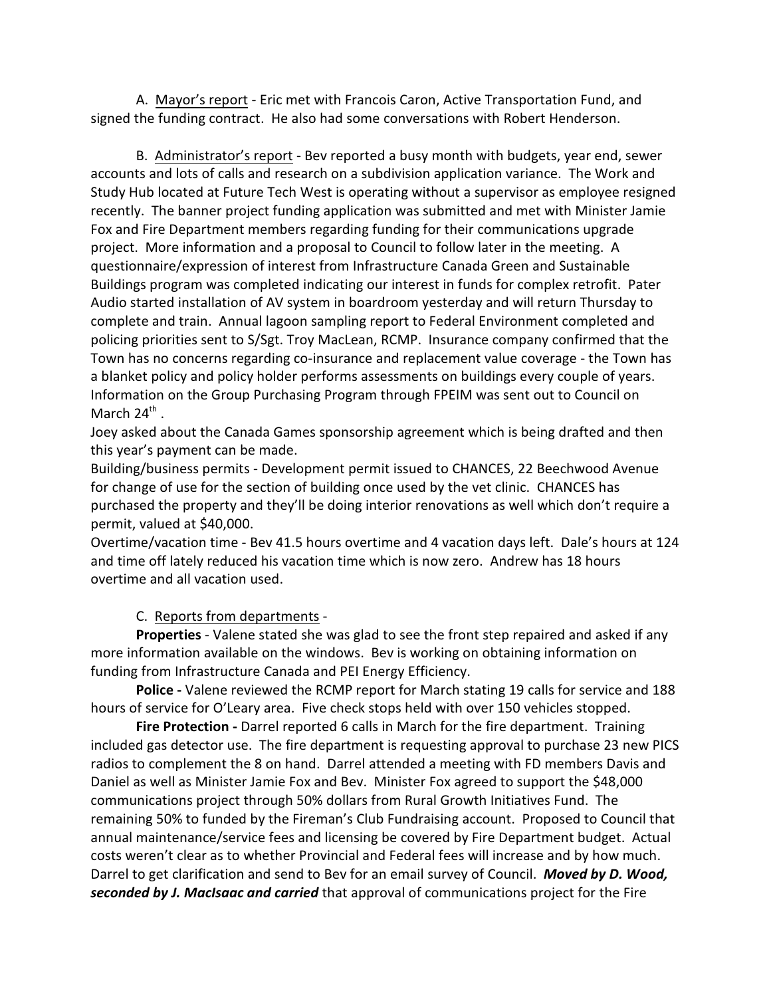A. Mayor's report - Eric met with Francois Caron, Active Transportation Fund, and signed the funding contract. He also had some conversations with Robert Henderson.

B. Administrator's report - Bev reported a busy month with budgets, year end, sewer accounts and lots of calls and research on a subdivision application variance. The Work and Study Hub located at Future Tech West is operating without a supervisor as employee resigned recently. The banner project funding application was submitted and met with Minister Jamie Fox and Fire Department members regarding funding for their communications upgrade project. More information and a proposal to Council to follow later in the meeting. A questionnaire/expression of interest from Infrastructure Canada Green and Sustainable Buildings program was completed indicating our interest in funds for complex retrofit. Pater Audio started installation of AV system in boardroom yesterday and will return Thursday to complete and train. Annual lagoon sampling report to Federal Environment completed and policing priorities sent to S/Sgt. Troy MacLean, RCMP. Insurance company confirmed that the Town has no concerns regarding co-insurance and replacement value coverage - the Town has a blanket policy and policy holder performs assessments on buildings every couple of years. Information on the Group Purchasing Program through FPEIM was sent out to Council on March  $24^{\text{th}}$  .

Joey asked about the Canada Games sponsorship agreement which is being drafted and then this year's payment can be made.

Building/business permits - Development permit issued to CHANCES, 22 Beechwood Avenue for change of use for the section of building once used by the vet clinic. CHANCES has purchased the property and they'll be doing interior renovations as well which don't require a permit, valued at \$40,000.

Overtime/vacation time - Bev 41.5 hours overtime and 4 vacation days left. Dale's hours at 124 and time off lately reduced his vacation time which is now zero. Andrew has 18 hours overtime and all vacation used.

C. Reports from departments -

**Properties** - Valene stated she was glad to see the front step repaired and asked if any more information available on the windows. Bev is working on obtaining information on funding from Infrastructure Canada and PEI Energy Efficiency.

**Police -** Valene reviewed the RCMP report for March stating 19 calls for service and 188 hours of service for O'Leary area. Five check stops held with over 150 vehicles stopped.

**Fire Protection -** Darrel reported 6 calls in March for the fire department. Training included gas detector use. The fire department is requesting approval to purchase 23 new PICS radios to complement the 8 on hand. Darrel attended a meeting with FD members Davis and Daniel as well as Minister Jamie Fox and Bev. Minister Fox agreed to support the \$48,000 communications project through 50% dollars from Rural Growth Initiatives Fund. The remaining 50% to funded by the Fireman's Club Fundraising account. Proposed to Council that annual maintenance/service fees and licensing be covered by Fire Department budget. Actual costs weren't clear as to whether Provincial and Federal fees will increase and by how much. Darrel to get clarification and send to Bev for an email survey of Council. *Moved by D. Wood, seconded by J. MacIsaac and carried* that approval of communications project for the Fire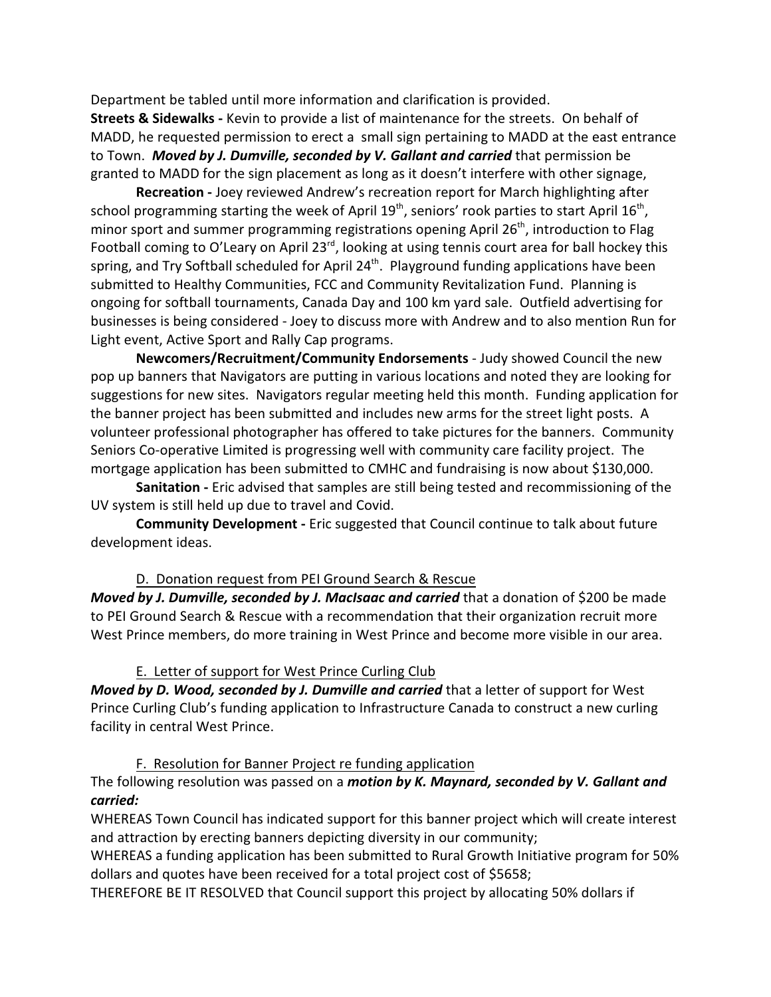Department be tabled until more information and clarification is provided.

**Streets & Sidewalks -** Kevin to provide a list of maintenance for the streets. On behalf of MADD, he requested permission to erect a small sign pertaining to MADD at the east entrance to Town. *Moved by J. Dumville, seconded by V. Gallant and carried* that permission be granted to MADD for the sign placement as long as it doesn't interfere with other signage,

**Recreation -** Joey reviewed Andrew's recreation report for March highlighting after school programming starting the week of April 19<sup>th</sup>, seniors' rook parties to start April 16<sup>th</sup>, minor sport and summer programming registrations opening April  $26<sup>th</sup>$ , introduction to Flag Football coming to O'Leary on April 23 $^{rd}$ , looking at using tennis court area for ball hockey this spring, and Try Softball scheduled for April 24<sup>th</sup>. Playground funding applications have been submitted to Healthy Communities, FCC and Community Revitalization Fund. Planning is ongoing for softball tournaments, Canada Day and 100 km yard sale. Outfield advertising for businesses is being considered - Joey to discuss more with Andrew and to also mention Run for Light event, Active Sport and Rally Cap programs.

**Newcomers/Recruitment/Community Endorsements** - Judy showed Council the new pop up banners that Navigators are putting in various locations and noted they are looking for suggestions for new sites. Navigators regular meeting held this month. Funding application for the banner project has been submitted and includes new arms for the street light posts. A volunteer professional photographer has offered to take pictures for the banners. Community Seniors Co-operative Limited is progressing well with community care facility project. The mortgage application has been submitted to CMHC and fundraising is now about \$130,000.

**Sanitation -** Eric advised that samples are still being tested and recommissioning of the UV system is still held up due to travel and Covid.

**Community Development -** Eric suggested that Council continue to talk about future development ideas.

### D. Donation request from PEI Ground Search & Rescue

*Moved by J. Dumville, seconded by J. MacIsaac and carried* that a donation of \$200 be made to PEI Ground Search & Rescue with a recommendation that their organization recruit more West Prince members, do more training in West Prince and become more visible in our area.

### E. Letter of support for West Prince Curling Club

*Moved by D. Wood, seconded by J. Dumville and carried* that a letter of support for West Prince Curling Club's funding application to Infrastructure Canada to construct a new curling facility in central West Prince.

#### F. Resolution for Banner Project re funding application

## The following resolution was passed on a *motion by K. Maynard, seconded by V. Gallant and carried:*

WHEREAS Town Council has indicated support for this banner project which will create interest and attraction by erecting banners depicting diversity in our community;

WHEREAS a funding application has been submitted to Rural Growth Initiative program for 50% dollars and quotes have been received for a total project cost of \$5658;

THEREFORE BE IT RESOLVED that Council support this project by allocating 50% dollars if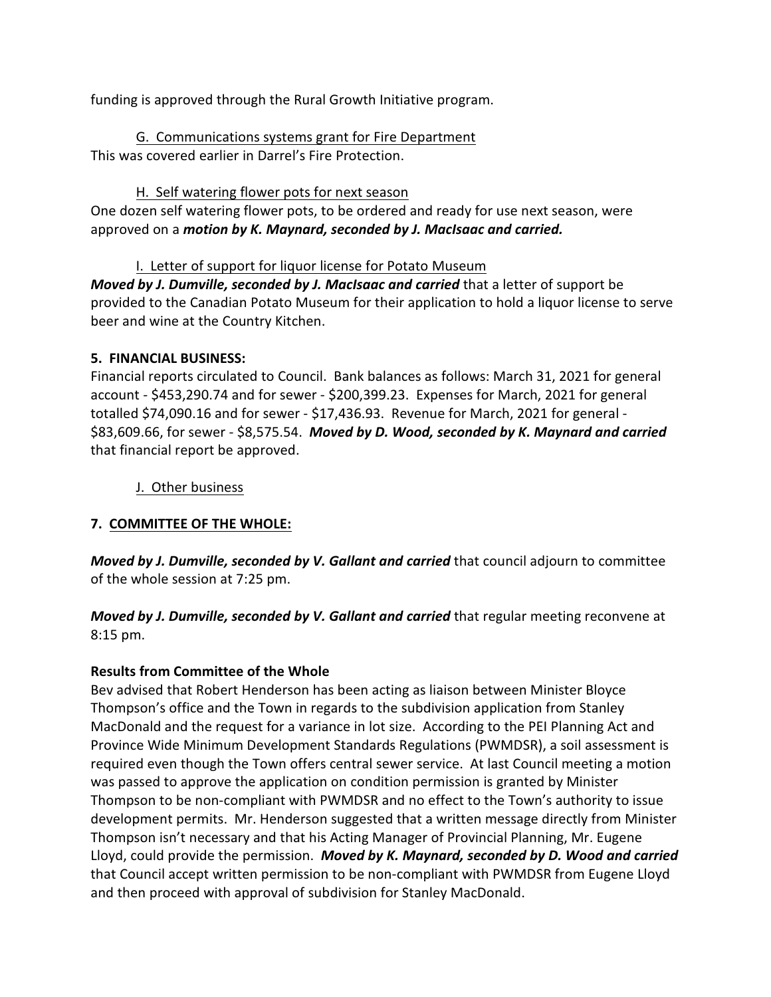funding is approved through the Rural Growth Initiative program.

G. Communications systems grant for Fire Department This was covered earlier in Darrel's Fire Protection.

## H. Self watering flower pots for next season

One dozen self watering flower pots, to be ordered and ready for use next season, were approved on a *motion by K. Maynard, seconded by J. MacIsaac and carried.*

# I. Letter of support for liquor license for Potato Museum

*Moved by J. Dumville, seconded by J. MacIsaac and carried* that a letter of support be provided to the Canadian Potato Museum for their application to hold a liquor license to serve beer and wine at the Country Kitchen.

### **5. FINANCIAL BUSINESS:**

Financial reports circulated to Council. Bank balances as follows: March 31, 2021 for general account - \$453,290.74 and for sewer - \$200,399.23. Expenses for March, 2021 for general totalled \$74,090.16 and for sewer - \$17,436.93. Revenue for March, 2021 for general - \$83,609.66, for sewer - \$8,575.54. *Moved by D. Wood, seconded by K. Maynard and carried* that financial report be approved.

### J. Other business

# **7. COMMITTEE OF THE WHOLE:**

*Moved by J. Dumville, seconded by V. Gallant and carried* that council adjourn to committee of the whole session at 7:25 pm.

*Moved by J. Dumville, seconded by V. Gallant and carried* that regular meeting reconvene at 8:15 pm.

# **Results from Committee of the Whole**

Bev advised that Robert Henderson has been acting as liaison between Minister Bloyce Thompson's office and the Town in regards to the subdivision application from Stanley MacDonald and the request for a variance in lot size. According to the PEI Planning Act and Province Wide Minimum Development Standards Regulations (PWMDSR), a soil assessment is required even though the Town offers central sewer service. At last Council meeting a motion was passed to approve the application on condition permission is granted by Minister Thompson to be non-compliant with PWMDSR and no effect to the Town's authority to issue development permits. Mr. Henderson suggested that a written message directly from Minister Thompson isn't necessary and that his Acting Manager of Provincial Planning, Mr. Eugene Lloyd, could provide the permission. *Moved by K. Maynard, seconded by D. Wood and carried* that Council accept written permission to be non-compliant with PWMDSR from Eugene Lloyd and then proceed with approval of subdivision for Stanley MacDonald.